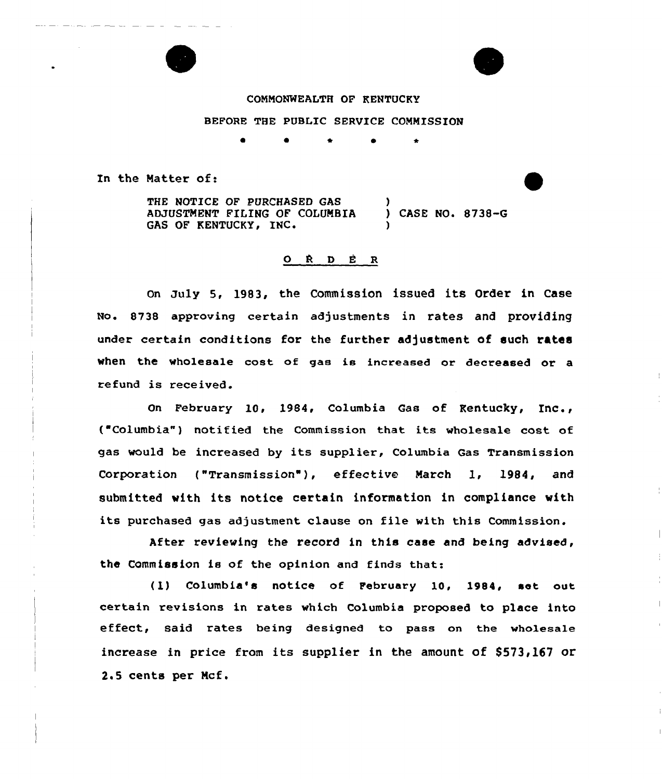### COMMONWEALTH OF KENTUCKY

### BEFORE THE PUBLIC SERVICE COMMISSION

**0** 0 <del>1</del> 0 <del>1</del>

In the Matter of:

THE NOTICE OF PURCHASED GAS ADJUSTMENT FILING OF COLUMBIA (D) CASE NO. 8738-G<br>GAS OF KENTUCKY, INC. (D) )

# $O$   $R$   $D$   $E$   $R$

On July 5, 1983, the Commission issued its Order in Case No. 8738 approving certain adjustments in rates and providing under certain conditions for the further adjustment of such rates when the wholesale cost of gas is increased or decreased or a refund is received.

On February 10, 1984, Columbia Gas of Kentucky, Inc., ("Columbia") notified the Commission that its wholesale cost of gas would be increased by its supplier, Columbia Gas Transmission Corporation ("Transmission', effective March 1, 1984, and submitted with its notice certain information in compliance with its purchased gas adjustment clause on file with this Commission.

After reviewing the record in this case and being advised, the Commission is of the opinion and finds that:

(1) Columbia's notice of February 10, 1984, set out certain revisions in rates which Columbia proposed to place into effect, said rates being designed to pass on the wholesale increase in price from its supplier in the amount of \$573,167 or 2.5 cents per Ncf.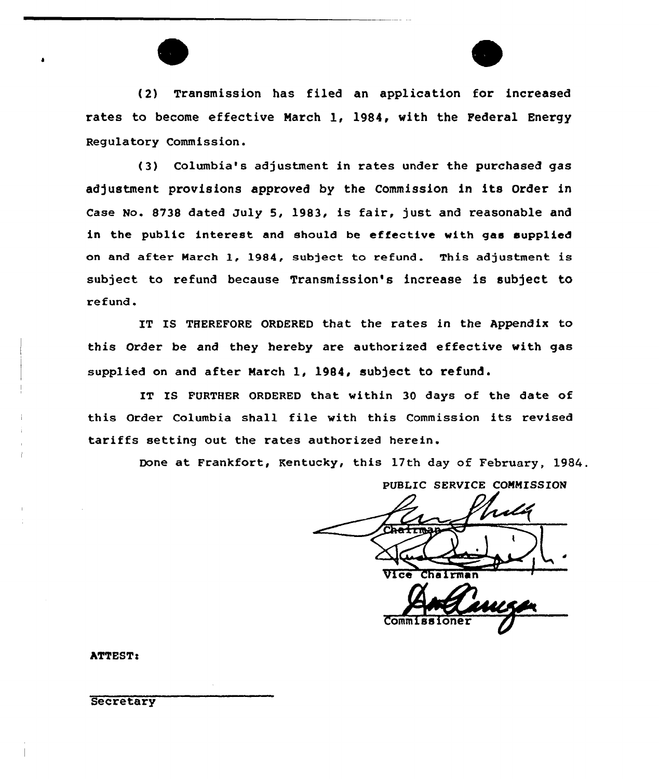



(2) Transmission has filed an application for increased rates to become effective March 1, 1984, with the Federal Energy Regulatory Commission.

(3} Columbia's adjustment in rates under the purchased gas adjustment provisions approved by the Commission in its Order in Case No. S73S dated July 5, 1983, is fair, just and reasonable and in the public interest and should be effective with gas supplied on and after March 1, 1984, subject to refund. This adjustment is subject to refund because Transmission's increase is subject to refund.

IT IS THEREFORE ORDERED that the rates in the Appendix to this Order be and they hereby are authorized effective with gas supplied on and after March 1, 1984, subject to refund.

IT IS FURTHER ORDERED that within 30 days of the date of this Order Columbia shall file with this Commission its revised tariffs setting out the rates authorized herein.

Done at Frankfort, Kentucky, this 17th day of February, 1984,.

PUBLIC SERVICE COMMISSION  $\overline{\text{vice}}$ r Comm<sub>1</sub>

ATTEST<

**Secretary**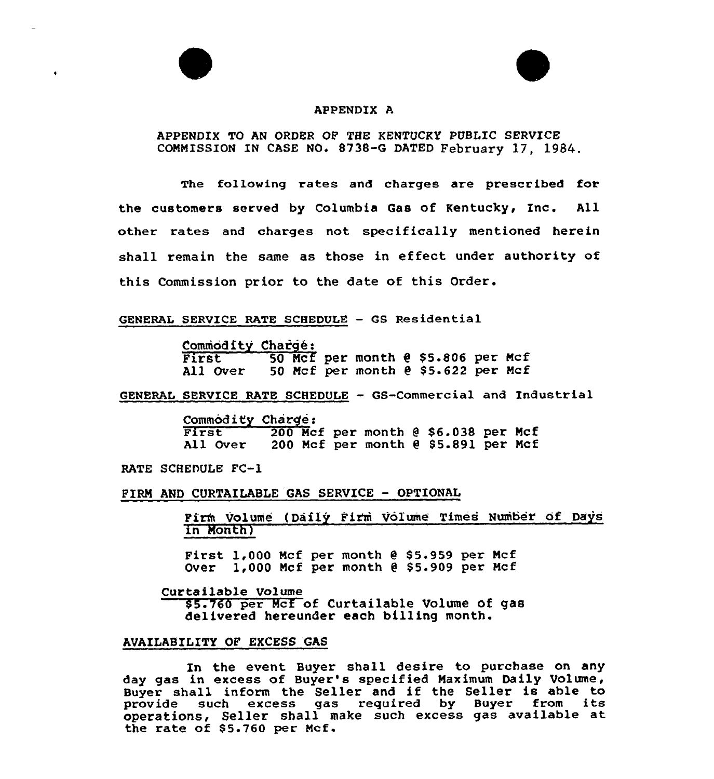#### APPENDIX A

# APPENDIX TO AN ORDER OF THE KENTUCKY PUBLIC SERVICE COMMISSION IN CASE NO. 8738-G DATED February 17, 1984.

The following rates and charges are prescribed for the customers served by Columbia Gas of Kentucky, Inc. All other rates and charges not specifically mentioned herein shall remain the same as those in effeet under authority of this Commission prior to the date of this Order.

### GENERAL SERVICE RATE SCHEDULE - GS Residential

Commodity Charge:<br>First 50 Mcf 50 Mcf per month @ \$5.806 per Mcf All Over 50 Mcf per month  $e$  \$5.622 per Mcf

GENERAL SERVICE RATE SCHEDULE — GS-Commercial and Xndustrial

Commodity Charge:<br>
First 200 Mcf per month @ \$6.038 per Mcf All Over 200 Mcf per month @ \$5.891 per Mcf

RATE SCHEDULE FC-1

#### FIRM AND CURTAILABLE GAS SERVICE - OPTIONAL

Firm Volume (Daily Firm Volume Times Number of Days in Month)

First  $1,000$  Mcf per month  $e$  \$5.959 per Mcf Over  $1,000$  Mcf per month  $e$  \$5.909 per Mcf

Curtailable Volume

\$5.760 per Mcf of Curtailable Volume of gas delivered hereunder each billing month.

#### AVAILABILITY OF EXCESS GAS

In the event Buyer shall desire to purchase on any day gas in excess of Buyer's specified Maximum Daily Volume, Buyer shall inform the Seller and if the Seller is able to provide such excess gas required by Buyer from its operations, Seller shall make such excess gas available at the rate of  $$5.760$  per Mcf.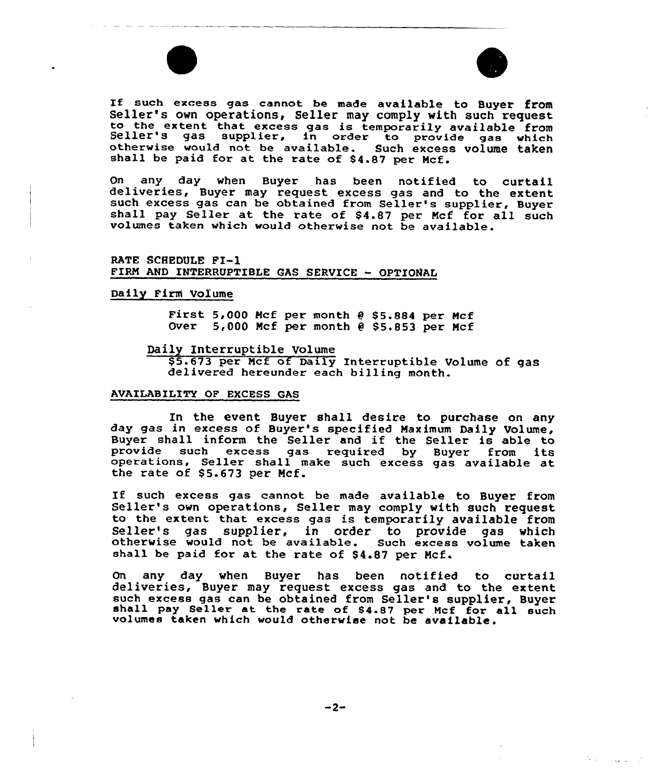



 $\mathcal{D}$  , and  $\mathcal{D}$  , and  $\mathcal{D}$ 

If such excess gas cannot be made available to Buyer from<br>Seller's own operations, Seller may comply with such request<br>to the extent that excess gas is temporarily available from<br>Seller's gas supplier, in order to provide

On any day when Buyer has been notified to curtail<br>deliveries, Buyer may request excess gas and to the extent<br>such excess gas can be obtained from Seller's supplier, Buyer<br>shall pay Seller at the rate of \$4.87 per Mcf for volumes taken which would otherwise not be available.

RATE SCHEDULE PI-l FIRM AND INTERRUPTIBLE GAS SERVICE - OPTIONAL

#### Daily Firni Volume

First  $5,000$  Mcf per month  $e$  \$5.884 per Mcf Over  $5,000$  Mcf per month  $e$  \$5.853 per Mcf

#### Daily Interruptible Volume

\$ 5.673 per Mcf of Daily Interruptible Volume of gas delivered hereunder each billing month.

#### AVAILABILITY OF EXCESS GAS

In the event Buyer shall desire to purchase on any day gas in excess of Buyer's specified Maximum Daily Volume, Buyer shall inform the Seller and if the Seller is able to provide such excess gas required by Buyer from its operations, Seller shall make such excess gas available at the rate of \$ 5.673 per Mcf.

If such excess gas cannot be made available to Buyer from Seller's own operations, Seller may comply with such request to the extent that excess gas is temporarily available from Seller's gas supplier, in order to provide gas which otherwise would not be available. Such excess volume taken shall be paid for at the rate of \$4.87 per Mcf.

On any day when Buyer has been notified to curtail deliveries, Buyer may request excess gas and to the extent shall pay Seller at the rate of \$4.87 per Mcf for all such volumes taken which would otherwise not be available.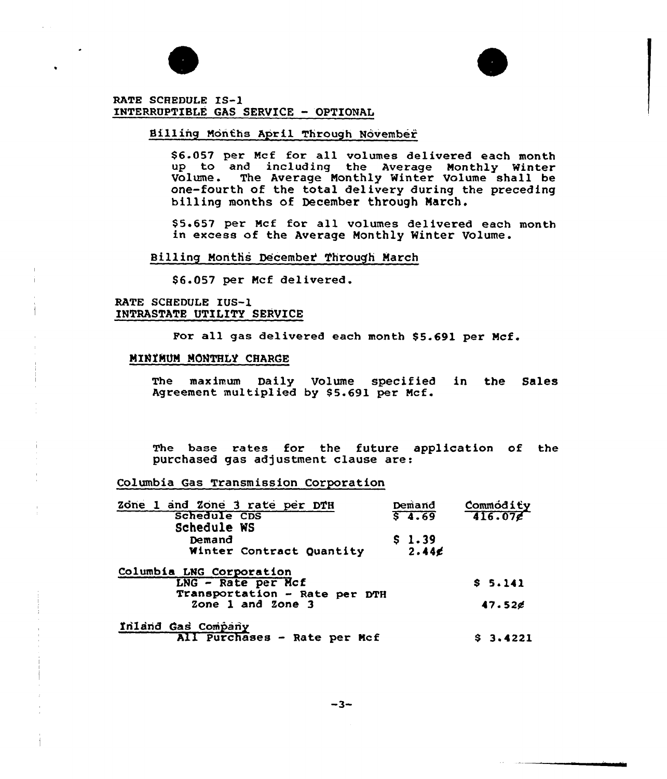



RATE SCHEDULE IS-1 INTERRUPTIBLE GAS SERVICE - OPTIONAL

### Billing Months April Through November

per Mcf for all volumes delivered each mont up to and including the Average Monthly Winter Volume. The Average Monthly Winter Volume shall be one-fourth of the total delivery during the preceding billing months of December through March.

\$ 5.657 per Mcf for all volumes delivered each month in excess of the Average Monthly Winter Volume.

Billing Months December Through March

\$6.057 per Mcf delivered.

RATE SCHEDULE IUS-1 INTRASTATE UTILITY SERVICE

For all gas delivered each month \$5.691 per Mcf.

### MINIMUM MONTHLY CHARGE

The maximum Daily Volume specified in the Sales Agreement multiplied by \$5.691 per Mcf.

The base rates for the future application of the purchased gas adjustment clause are:

Columbia Gas Transmission Corporation

| Zone 1 and Zone 3 rate per DTH                                                  | Demand     | $\frac{\text{Comm\'odi\'ey}}{\text{416.07g}}$ |
|---------------------------------------------------------------------------------|------------|-----------------------------------------------|
| <b>Schedule CDS</b>                                                             | $5 - 4.69$ |                                               |
| Schedule WS                                                                     |            |                                               |
| Demand                                                                          | \$1.39     |                                               |
| Winter Contract Quantity                                                        | 2.446      |                                               |
| Columbia LNG Corporation<br>LNG - Rate per Mcf<br>Transportation - Rate per DTH | \$5.141    |                                               |
| Zone 1 and Zone 3                                                               | 47.526     |                                               |
| Inland Gas Company                                                              |            |                                               |
| All Purchases - Rate per Mcf                                                    | \$3.4221   |                                               |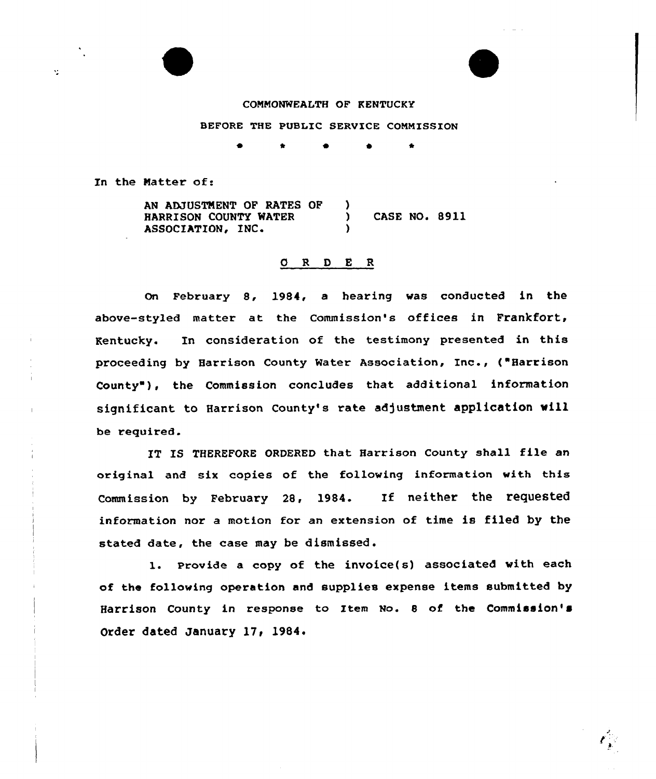



COMMONWEALTH OF KENTUCKY

### BEFORE THE PUBLIC SERVICE COMMISSION

In the Matter of:

Y.

AN ADJUSTMENT OF RATES OF 1 HARRISON COUNTY WATER (ASE NO. 8911)<br>ASSOCIATION, INC. (ASSOCIATION) )

# 0 <sup>R</sup> <sup>D</sup> E R

on February 8, 1984, a hearing was conducted in the above-styled matter at the Commission's offices in Frankfort, Kentucky. In consideration of the testimony presented in this proceeding by Harrison County Water Association, Inc., {"Harrison County"), the Commission concludes that additional information significant to Harrison County's rate adjustment application will be required.

IT IS THEREFORE ORDERED that Harrison County shall file an original and six copies of the following information with this Commission by February 28, 1984. If neither the requested information nor a motion for an extension of time is filed by the stated date, the case may be dismissed.

l. Provide <sup>a</sup> copy of the invoice{s) associated with each of the following operation and supplies expense items submitted by Harrison County in response to Item No. 8 of the Commission's Order dated January 17, 1984.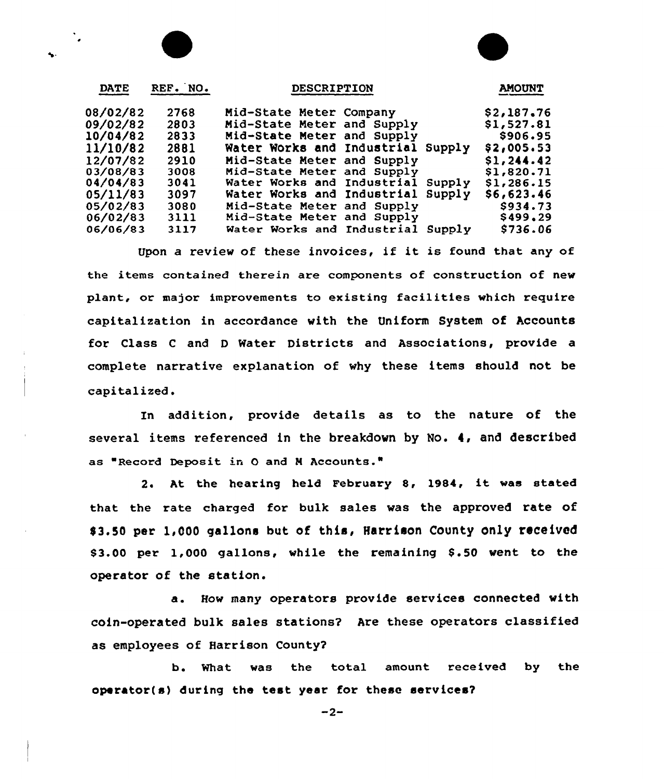| <b>DATE</b> | REF. NO. | <b>DESCRIPTION</b>                   | <b>AMOUNT</b> |
|-------------|----------|--------------------------------------|---------------|
| 08/02/82    | 2768     | Mid-State Meter Company              | \$2,187.76    |
| 09/02/82    | 2803     | Mid-State Meter and Supply           | \$1,527.81    |
| 10/04/82    | 2833     | Mid-State Meter and Supply           | \$906.95      |
| 11/10/82    | 2881     | Water Works and Industrial Supply    | \$2,005.53    |
| 12/07/82    | 2910     | Mid-State Meter and Supply           | \$1,244.42    |
| 03/08/83    | 3008     | Mid-State Meter and Supply           | \$1,820.71    |
| 04/04/83    | 3041     | Water Works and Industrial<br>Supply | \$1,286.15    |
| 05/11/83    | 3097     | Water Works and Industrial Supply    | \$6,623.46    |
| 05/02/83    | 3080     | Mid-State Meter and Supply           | \$934.73      |
| 06/02/83    | 3111     | Mid-State Meter and Supply           | \$499.29      |
| 06/06/83    | 3117     | Water Works and Industrial Supply    | \$736.06      |

Upon <sup>a</sup> review of these invoices, if it is found that any of the items contained therein are components of construction of new plant, or major improvements to existing facilities which require capitalization in accordance with the Uniform System of Accounts for Class <sup>C</sup> and <sup>D</sup> Water Districts and Associations, provide a complete narrative explanation of why these items should not be capitalized.

In addition, provide details as to the nature of the several items referenced in the breakdown by No. 4, and described as "Record Deposit in O and M Accounts."

2. At the hearing held February 8, 1984, it was stated that the rate charged for bulk sales was the approved rate of \$3.50 per 1,000 gallons but of this, Harrison County only received \$3.00 per 1,000 gallons, while the remaining \$.50 went to the operator of the station.

a. How many operators provide services connected with coin-operated bulk sales stations? Are these operators classified as employees of Harrison County?

b. What was the total amount. received by the operator(a) during the teat year for these services?

 $-2-$